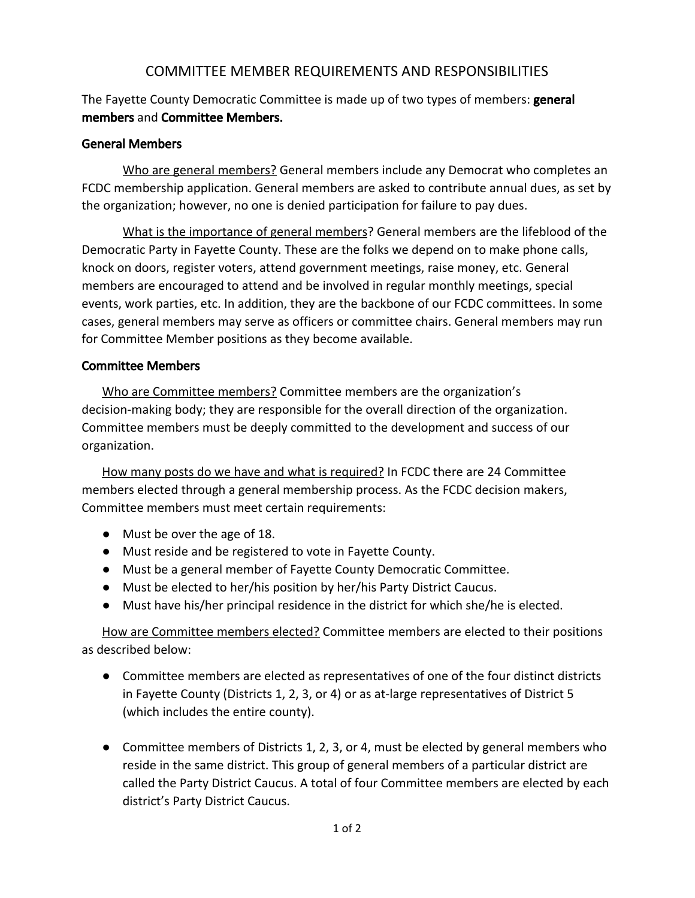## COMMITTEE MEMBER REQUIREMENTS AND RESPONSIBILITIES

The Fayette County Democratic Committee is made up of two types of members: **general** members and Committee Members.

## General Members

Who are general members? General members include any Democrat who completes an FCDC membership application. General members are asked to contribute annual dues, as set by the organization; however, no one is denied participation for failure to pay dues.

What is the importance of general members? General members are the lifeblood of the Democratic Party in Fayette County. These are the folks we depend on to make phone calls, knock on doors, register voters, attend government meetings, raise money, etc. General members are encouraged to attend and be involved in regular monthly meetings, special events, work parties, etc. In addition, they are the backbone of our FCDC committees. In some cases, general members may serve as officers or committee chairs. General members may run for Committee Member positions as they become available.

## Committee Members

Who are Committee members? Committee members are the organization's decision-making body; they are responsible for the overall direction of the organization. Committee members must be deeply committed to the development and success of our organization.

How many posts do we have and what is required? In FCDC there are 24 Committee members elected through a general membership process. As the FCDC decision makers, Committee members must meet certain requirements:

- Must be over the age of 18.
- Must reside and be registered to vote in Fayette County.
- Must be a general member of Fayette County Democratic Committee.
- Must be elected to her/his position by her/his Party District Caucus.
- Must have his/her principal residence in the district for which she/he is elected.

How are Committee members elected? Committee members are elected to their positions as described below:

- Committee members are elected as representatives of one of the four distinct districts in Fayette County (Districts 1, 2, 3, or 4) or as at-large representatives of District 5 (which includes the entire county).
- Committee members of Districts 1, 2, 3, or 4, must be elected by general members who reside in the same district. This group of general members of a particular district are called the Party District Caucus. A total of four Committee members are elected by each district's Party District Caucus.